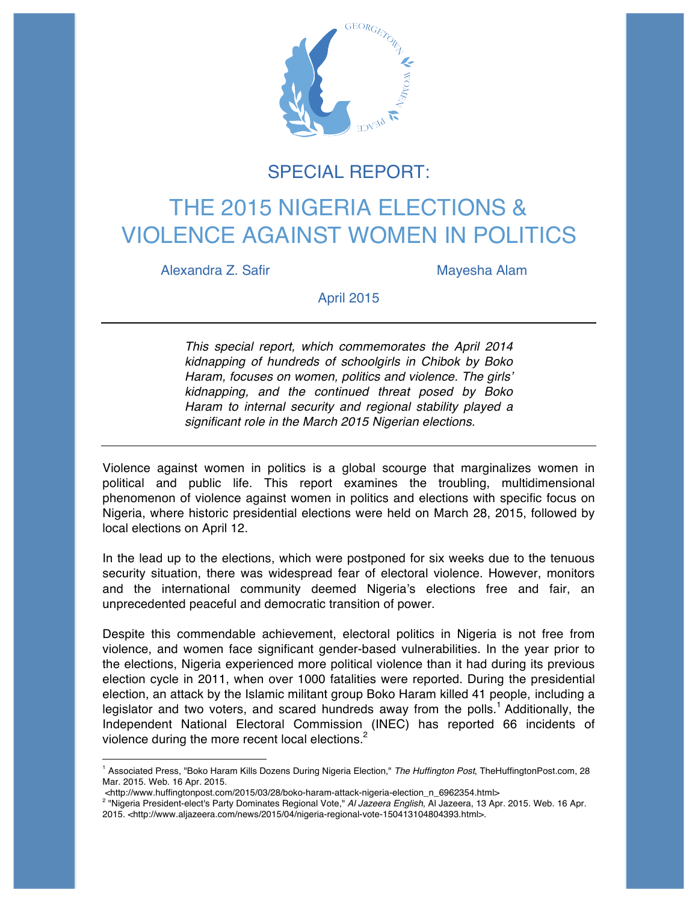

# SPECIAL REPORT:

# THE 2015 NIGERIA ELECTIONS & VIOLENCE AGAINST WOMEN IN POLITICS

Alexandra Z. Safir **Mayesha Alam** 

April 2015

*This special report, which commemorates the April 2014 kidnapping of hundreds of schoolgirls in Chibok by Boko Haram, focuses on women, politics and violence. The girls' kidnapping, and the continued threat posed by Boko Haram to internal security and regional stability played a significant role in the March 2015 Nigerian elections.*

Violence against women in politics is a global scourge that marginalizes women in political and public life. This report examines the troubling, multidimensional phenomenon of violence against women in politics and elections with specific focus on Nigeria, where historic presidential elections were held on March 28, 2015, followed by local elections on April 12.

In the lead up to the elections, which were postponed for six weeks due to the tenuous security situation, there was widespread fear of electoral violence. However, monitors and the international community deemed Nigeria's elections free and fair, an unprecedented peaceful and democratic transition of power.

Despite this commendable achievement, electoral politics in Nigeria is not free from violence, and women face significant gender-based vulnerabilities. In the year prior to the elections, Nigeria experienced more political violence than it had during its previous election cycle in 2011, when over 1000 fatalities were reported. During the presidential election, an attack by the Islamic militant group Boko Haram killed 41 people, including a legislator and two voters, and scared hundreds away from the polls.<sup>1</sup> Additionally, the Independent National Electoral Commission (INEC) has reported 66 incidents of violence during the more recent local elections. $<sup>2</sup>$ </sup>

<sup>1</sup> Associated Press, "Boko Haram Kills Dozens During Nigeria Election," *The Huffington Post*, TheHuffingtonPost.com, 28 Mar. 2015. Web. 16 Apr. 2015.

<sup>&</sup>lt;http://www.huffingtonpost.com/2015/03/28/boko-haram-attack-nigeria-election\_n\_6962354.html>

<sup>2</sup> "Nigeria President-elect's Party Dominates Regional Vote," *Al Jazeera English*, Al Jazeera, 13 Apr. 2015. Web. 16 Apr. 2015. <http://www.aljazeera.com/news/2015/04/nigeria-regional-vote-150413104804393.html>.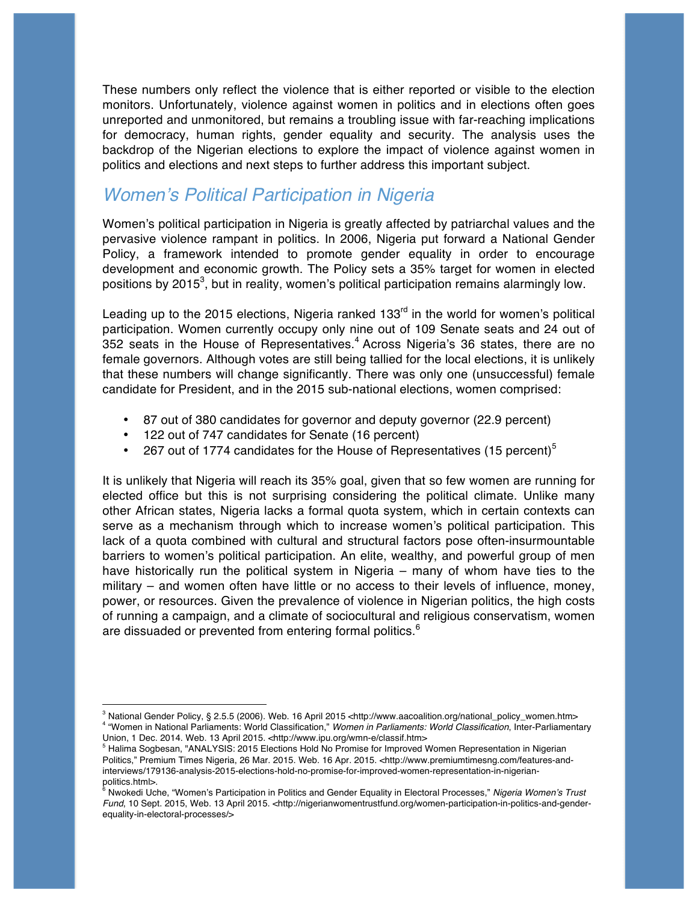These numbers only reflect the violence that is either reported or visible to the election monitors. Unfortunately, violence against women in politics and in elections often goes unreported and unmonitored, but remains a troubling issue with far-reaching implications for democracy, human rights, gender equality and security. The analysis uses the backdrop of the Nigerian elections to explore the impact of violence against women in politics and elections and next steps to further address this important subject.

## *Women's Political Participation in Nigeria*

Women's political participation in Nigeria is greatly affected by patriarchal values and the pervasive violence rampant in politics. In 2006, Nigeria put forward a National Gender Policy, a framework intended to promote gender equality in order to encourage development and economic growth. The Policy sets a 35% target for women in elected positions by 2015<sup>3</sup>, but in reality, women's political participation remains alarmingly low.

Leading up to the 2015 elections, Nigeria ranked  $133<sup>rd</sup>$  in the world for women's political participation. Women currently occupy only nine out of 109 Senate seats and 24 out of 352 seats in the House of Representatives. $4$  Across Nigeria's 36 states, there are no female governors. Although votes are still being tallied for the local elections, it is unlikely that these numbers will change significantly. There was only one (unsuccessful) female candidate for President, and in the 2015 sub-national elections, women comprised:

- 87 out of 380 candidates for governor and deputy governor (22.9 percent)
- 122 out of 747 candidates for Senate (16 percent)

 

• 267 out of 1774 candidates for the House of Representatives (15 percent)<sup>5</sup>

It is unlikely that Nigeria will reach its 35% goal, given that so few women are running for elected office but this is not surprising considering the political climate. Unlike many other African states, Nigeria lacks a formal quota system, which in certain contexts can serve as a mechanism through which to increase women's political participation. This lack of a quota combined with cultural and structural factors pose often-insurmountable barriers to women's political participation. An elite, wealthy, and powerful group of men have historically run the political system in Nigeria – many of whom have ties to the military – and women often have little or no access to their levels of influence, money, power, or resources. Given the prevalence of violence in Nigerian politics, the high costs of running a campaign, and a climate of sociocultural and religious conservatism, women are dissuaded or prevented from entering formal politics.<sup>6</sup>

<sup>&</sup>lt;sup>3</sup> National Gender Policy, § 2.5.5 (2006). Web. 16 April 2015 <http://www.aacoalition.org/national\_policy\_women.htm><br><sup>4</sup> "Women in National Parliaments: World Classification," *Women in Parliaments: World Classification*,

Union, 1 Dec. 2014. Web. 13 April 2015. <http://www.ipu.org/wmn-e/classif.htm><br><sup>5</sup> Halima Sogbesan, "ANALYSIS: 2015 Elections Hold No Promise for Improved Women Representation in Nigerian Politics," Premium Times Nigeria, 26 Mar. 2015. Web. 16 Apr. 2015. <http://www.premiumtimesng.com/features-andinterviews/179136-analysis-2015-elections-hold-no-promise-for-improved-women-representation-in-nigerianpolitics.html>.

<sup>6</sup> Nwokedi Uche, "Women's Participation in Politics and Gender Equality in Electoral Processes," *Nigeria Women's Trust Fund*, 10 Sept. 2015, Web. 13 April 2015. <http://nigerianwomentrustfund.org/women-participation-in-politics-and-genderequality-in-electoral-processes/>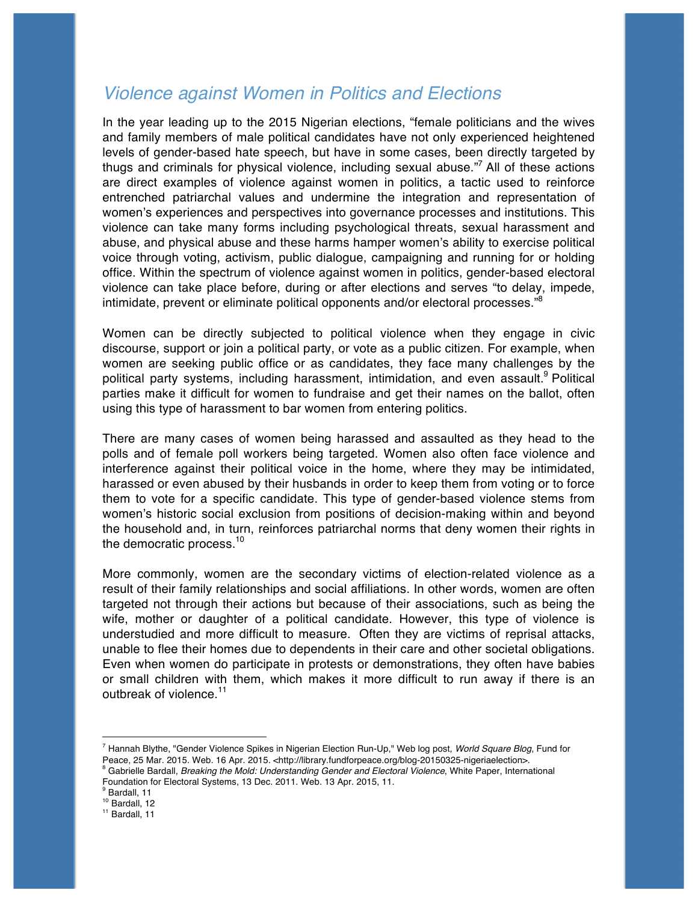#### *Violence against Women in Politics and Elections*

In the year leading up to the 2015 Nigerian elections, "female politicians and the wives and family members of male political candidates have not only experienced heightened levels of gender-based hate speech, but have in some cases, been directly targeted by thugs and criminals for physical violence, including sexual abuse."<sup>7</sup> All of these actions are direct examples of violence against women in politics, a tactic used to reinforce entrenched patriarchal values and undermine the integration and representation of women's experiences and perspectives into governance processes and institutions. This violence can take many forms including psychological threats, sexual harassment and abuse, and physical abuse and these harms hamper women's ability to exercise political voice through voting, activism, public dialogue, campaigning and running for or holding office. Within the spectrum of violence against women in politics, gender-based electoral violence can take place before, during or after elections and serves "to delay, impede, intimidate, prevent or eliminate political opponents and/or electoral processes."<sup>8</sup>

Women can be directly subjected to political violence when they engage in civic discourse, support or join a political party, or vote as a public citizen. For example, when women are seeking public office or as candidates, they face many challenges by the political party systems, including harassment, intimidation, and even assault.<sup>9</sup> Political parties make it difficult for women to fundraise and get their names on the ballot, often using this type of harassment to bar women from entering politics.

There are many cases of women being harassed and assaulted as they head to the polls and of female poll workers being targeted. Women also often face violence and interference against their political voice in the home, where they may be intimidated, harassed or even abused by their husbands in order to keep them from voting or to force them to vote for a specific candidate. This type of gender-based violence stems from women's historic social exclusion from positions of decision-making within and beyond the household and, in turn, reinforces patriarchal norms that deny women their rights in the democratic process.<sup>10</sup>

More commonly, women are the secondary victims of election-related violence as a result of their family relationships and social affiliations. In other words, women are often targeted not through their actions but because of their associations, such as being the wife, mother or daughter of a political candidate. However, this type of violence is understudied and more difficult to measure. Often they are victims of reprisal attacks, unable to flee their homes due to dependents in their care and other societal obligations. Even when women do participate in protests or demonstrations, they often have babies or small children with them, which makes it more difficult to run away if there is an outbreak of violence.<sup>11</sup>

<sup>7</sup> Hannah Blythe, "Gender Violence Spikes in Nigerian Election Run-Up," Web log post, *World Square Blog*, Fund for Peace, 25 Mar. 2015. Web. 16 Apr. 2015. <http://library.fundforpeace.org/blog-20150325-nigeriaelection>. <sup>8</sup> Gabrielle Bardall, *Breaking the Mold: Understanding Gender and Electoral Violence*, White Paper, International Foundation for Electoral Systems, 13 Dec. 2011. Web. 13 Apr. 2015, 11.<br><sup>9</sup> Bardall, 11

 $10$  Bardall, 12

 $11$  Bardall, 11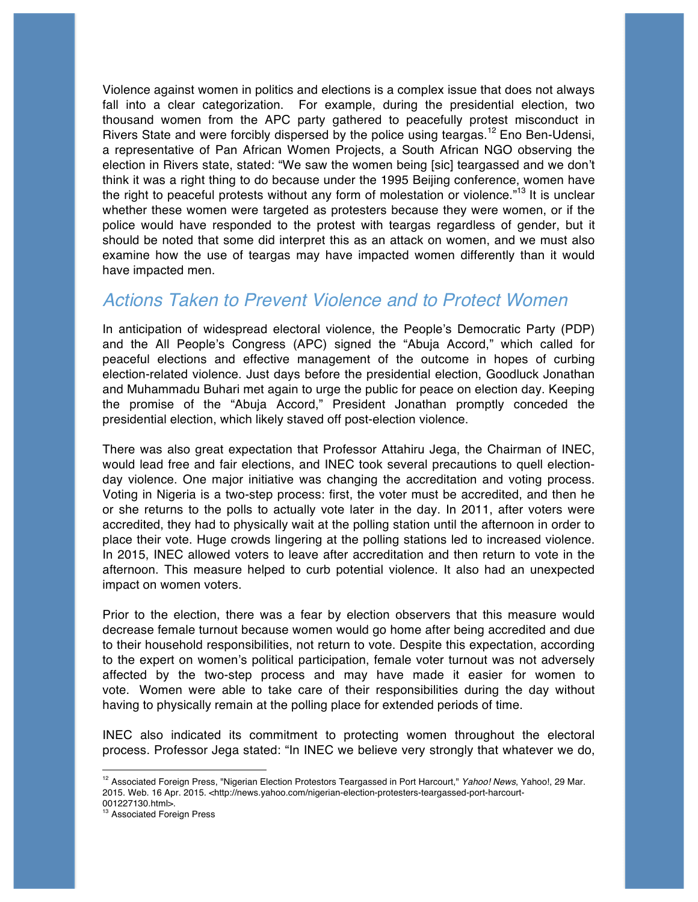Violence against women in politics and elections is a complex issue that does not always fall into a clear categorization. For example, during the presidential election, two thousand women from the APC party gathered to peacefully protest misconduct in Rivers State and were forcibly dispersed by the police using teargas.<sup>12</sup> Eno Ben-Udensi, a representative of Pan African Women Projects, a South African NGO observing the election in Rivers state, stated: "We saw the women being [sic] teargassed and we don't think it was a right thing to do because under the 1995 Beijing conference, women have the right to peaceful protests without any form of molestation or violence."<sup>13</sup> It is unclear whether these women were targeted as protesters because they were women, or if the police would have responded to the protest with teargas regardless of gender, but it should be noted that some did interpret this as an attack on women, and we must also examine how the use of teargas may have impacted women differently than it would have impacted men.

#### *Actions Taken to Prevent Violence and to Protect Women*

In anticipation of widespread electoral violence, the People's Democratic Party (PDP) and the All People's Congress (APC) signed the "Abuja Accord," which called for peaceful elections and effective management of the outcome in hopes of curbing election-related violence. Just days before the presidential election, Goodluck Jonathan and Muhammadu Buhari met again to urge the public for peace on election day. Keeping the promise of the "Abuja Accord," President Jonathan promptly conceded the presidential election, which likely staved off post-election violence.

There was also great expectation that Professor Attahiru Jega, the Chairman of INEC, would lead free and fair elections, and INEC took several precautions to quell electionday violence. One major initiative was changing the accreditation and voting process. Voting in Nigeria is a two-step process: first, the voter must be accredited, and then he or she returns to the polls to actually vote later in the day. In 2011, after voters were accredited, they had to physically wait at the polling station until the afternoon in order to place their vote. Huge crowds lingering at the polling stations led to increased violence. In 2015, INEC allowed voters to leave after accreditation and then return to vote in the afternoon. This measure helped to curb potential violence. It also had an unexpected impact on women voters.

Prior to the election, there was a fear by election observers that this measure would decrease female turnout because women would go home after being accredited and due to their household responsibilities, not return to vote. Despite this expectation, according to the expert on women's political participation, female voter turnout was not adversely affected by the two-step process and may have made it easier for women to vote. Women were able to take care of their responsibilities during the day without having to physically remain at the polling place for extended periods of time.

INEC also indicated its commitment to protecting women throughout the electoral process. Professor Jega stated: "In INEC we believe very strongly that whatever we do,

<sup>12</sup> Associated Foreign Press, "Nigerian Election Protestors Teargassed in Port Harcourt," *Yahoo! News*, Yahoo!, 29 Mar. 2015. Web. 16 Apr. 2015. <http://news.yahoo.com/nigerian-election-protesters-teargassed-port-harcourt-001227130.html>.

<sup>&</sup>lt;sup>3</sup> Associated Foreign Press